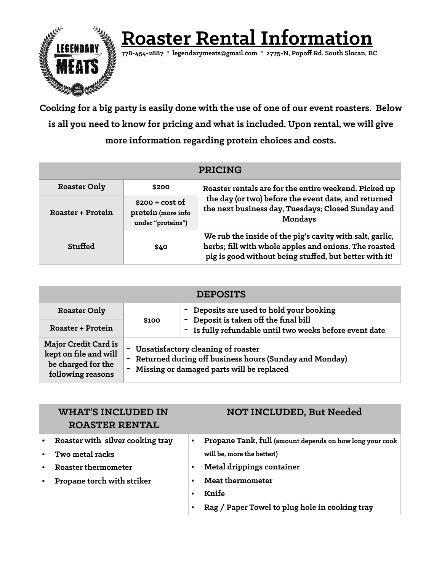

 **Roas[ter Rental](mailto:legendarymeats@gmail.com) Information 778-454-2887 \* [legendarymeats@gmail.com](mailto:legendarymeats@gmail.com) \* 2775-N, Popoff Rd. South Slocan, BC**

**Cooking for a big party is easily done with the use of one of our event roasters. Below is all you need to know for pricing and what is included. Upon rental, we will give more information regarding protein choices and costs.** 

| <b>PRICING</b>           |                                                             |                                                                                                                                                                             |  |  |
|--------------------------|-------------------------------------------------------------|-----------------------------------------------------------------------------------------------------------------------------------------------------------------------------|--|--|
| <b>Roaster Only</b>      | \$200                                                       | Roaster rentals are for the entire weekend. Picked up                                                                                                                       |  |  |
| <b>Roaster + Protein</b> | $$200 + cost of$<br>protein (more info<br>under "proteins") | the day (or two) before the event date, and returned<br>the next business day, Tuesdays; Closed Sunday and<br><b>Mondays</b>                                                |  |  |
| Stuffed                  | \$40                                                        | We rub the inside of the pig's cavity with salt, garlic,<br>herbs; fill with whole apples and onions. The roasted<br>pig is good without being stuffed, but better with it! |  |  |

| <b>DEPOSITS</b>                                                                                 |                                                                                                                                           |                                                                                   |  |  |  |
|-------------------------------------------------------------------------------------------------|-------------------------------------------------------------------------------------------------------------------------------------------|-----------------------------------------------------------------------------------|--|--|--|
| <b>Roaster Only</b>                                                                             |                                                                                                                                           | - Deposits are used to hold your booking<br>- Deposit is taken off the final bill |  |  |  |
| Roaster + Protein                                                                               | \$100                                                                                                                                     | - Is fully refundable until two weeks before event date                           |  |  |  |
| <b>Major Credit Card is</b><br>kept on file and will<br>be charged for the<br>following reasons | Unsatisfactory cleaning of roaster<br>Returned during off business hours (Sunday and Monday)<br>Missing or damaged parts will be replaced |                                                                                   |  |  |  |

| <b>WHAT'S INCLUDED IN</b><br><b>ROASTER RENTAL</b> |           | <b>NOT INCLUDED, But Needed</b>                          |
|----------------------------------------------------|-----------|----------------------------------------------------------|
| Roaster with silver cooking tray                   | $\bullet$ | Propane Tank, full (amount depends on how long your cook |
| Two metal racks                                    |           | will be, more the better!)                               |
| <b>Roaster thermometer</b>                         |           | Metal drippings container                                |
| Propane torch with striker                         |           | <b>Meat thermometer</b>                                  |
|                                                    |           | Knife                                                    |
|                                                    |           | Rag / Paper Towel to plug hole in cooking tray           |